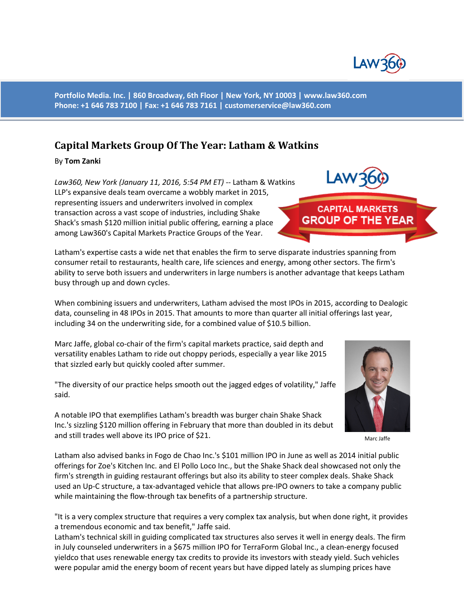

**Portfolio Media. Inc. | 860 Broadway, 6th Floor | New York, NY 10003 | www.law360.com Phone: +1 646 783 7100 | Fax: +1 646 783 7161 | [customerservice@law360.com](mailto:customerservice@law360.com)**

## **Capital Markets Group Of The Year: Latham & Watkins**

By **Tom Zanki**

*Law360, New York (January 11, 2016, 5:54 PM ET)* -- Latham & Watkins LLP's expansive deals team overcame a wobbly market in 2015, representing issuers and underwriters involved in complex transaction across a vast scope of industries, including Shake Shack's smash \$120 million initial public offering, earning a place among Law360's Capital Markets Practice Groups of the Year.

Latham's expertise casts a wide net that enables the firm to serve disparate industries spanning from consumer retail to restaurants, health care, life sciences and energy, among other sectors. The firm's ability to serve both issuers and underwriters in large numbers is another advantage that keeps Latham busy through up and down cycles.

When combining issuers and underwriters, Latham advised the most IPOs in 2015, according to Dealogic data, counseling in 48 IPOs in 2015. That amounts to more than quarter all initial offerings last year, including 34 on the underwriting side, for a combined value of \$10.5 billion.

Marc Jaffe, global co-chair of the firm's capital markets practice, said depth and versatility enables Latham to ride out choppy periods, especially a year like 2015 that sizzled early but quickly cooled after summer.

"The diversity of our practice helps smooth out the jagged edges of volatility," Jaffe said.

A notable IPO that exemplifies Latham's breadth was burger chain Shake Shack Inc.'s sizzling \$120 million offering in February that more than doubled in its debut and still trades well above its IPO price of \$21.

Latham also advised banks in Fogo de Chao Inc.'s \$101 million IPO in June as well as 2014 initial public offerings for Zoe's Kitchen Inc. and El Pollo Loco Inc., but the Shake Shack deal showcased not only the firm's strength in guiding restaurant offerings but also its ability to steer complex deals. Shake Shack used an Up-C structure, a tax-advantaged vehicle that allows pre-IPO owners to take a company public while maintaining the flow-through tax benefits of a partnership structure.

"It is a very complex structure that requires a very complex tax analysis, but when done right, it provides a tremendous economic and tax benefit," Jaffe said.

Latham's technical skill in guiding complicated tax structures also serves it well in energy deals. The firm in July counseled underwriters in a \$675 million IPO for TerraForm Global Inc., a clean-energy focused yieldco that uses renewable energy tax credits to provide its investors with steady yield. Such vehicles were popular amid the energy boom of recent years but have dipped lately as slumping prices have



Marc Jaffe



**CAPITAL MARKETS GROUP OF THE YEAR**